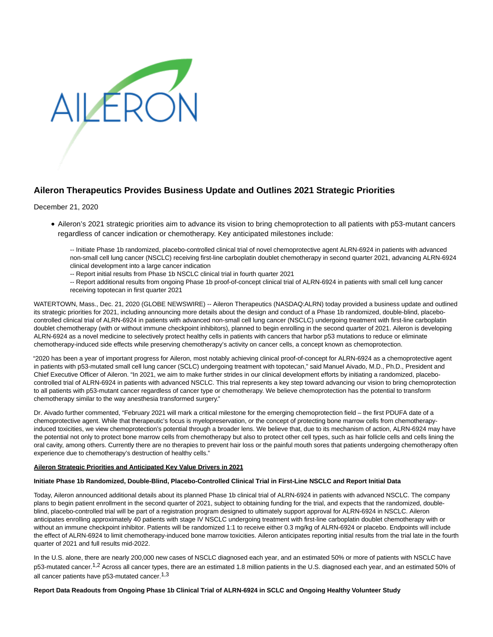

# **Aileron Therapeutics Provides Business Update and Outlines 2021 Strategic Priorities**

## December 21, 2020

- Aileron's 2021 strategic priorities aim to advance its vision to bring chemoprotection to all patients with p53-mutant cancers regardless of cancer indication or chemotherapy. Key anticipated milestones include:
	- -- Initiate Phase 1b randomized, placebo-controlled clinical trial of novel chemoprotective agent ALRN-6924 in patients with advanced non-small cell lung cancer (NSCLC) receiving first-line carboplatin doublet chemotherapy in second quarter 2021, advancing ALRN-6924 clinical development into a large cancer indication
	- -- Report initial results from Phase 1b NSCLC clinical trial in fourth quarter 2021
	- -- Report additional results from ongoing Phase 1b proof-of-concept clinical trial of ALRN-6924 in patients with small cell lung cancer receiving topotecan in first quarter 2021

WATERTOWN, Mass., Dec. 21, 2020 (GLOBE NEWSWIRE) -- Aileron Therapeutics (NASDAQ:ALRN) today provided a business update and outlined its strategic priorities for 2021, including announcing more details about the design and conduct of a Phase 1b randomized, double-blind, placebocontrolled clinical trial of ALRN-6924 in patients with advanced non-small cell lung cancer (NSCLC) undergoing treatment with first-line carboplatin doublet chemotherapy (with or without immune checkpoint inhibitors), planned to begin enrolling in the second quarter of 2021. Aileron is developing ALRN-6924 as a novel medicine to selectively protect healthy cells in patients with cancers that harbor p53 mutations to reduce or eliminate chemotherapy-induced side effects while preserving chemotherapy's activity on cancer cells, a concept known as chemoprotection.

"2020 has been a year of important progress for Aileron, most notably achieving clinical proof-of-concept for ALRN-6924 as a chemoprotective agent in patients with p53-mutated small cell lung cancer (SCLC) undergoing treatment with topotecan," said Manuel Aivado, M.D., Ph.D., President and Chief Executive Officer of Aileron. "In 2021, we aim to make further strides in our clinical development efforts by initiating a randomized, placebocontrolled trial of ALRN-6924 in patients with advanced NSCLC. This trial represents a key step toward advancing our vision to bring chemoprotection to all patients with p53-mutant cancer regardless of cancer type or chemotherapy. We believe chemoprotection has the potential to transform chemotherapy similar to the way anesthesia transformed surgery."

Dr. Aivado further commented, "February 2021 will mark a critical milestone for the emerging chemoprotection field – the first PDUFA date of a chemoprotective agent. While that therapeutic's focus is myelopreservation, or the concept of protecting bone marrow cells from chemotherapyinduced toxicities, we view chemoprotection's potential through a broader lens. We believe that, due to its mechanism of action, ALRN-6924 may have the potential not only to protect bone marrow cells from chemotherapy but also to protect other cell types, such as hair follicle cells and cells lining the oral cavity, among others. Currently there are no therapies to prevent hair loss or the painful mouth sores that patients undergoing chemotherapy often experience due to chemotherapy's destruction of healthy cells."

### **Aileron Strategic Priorities and Anticipated Key Value Drivers in 2021**

### **Initiate Phase 1b Randomized, Double-Blind, Placebo-Controlled Clinical Trial in First-Line NSCLC and Report Initial Data**

Today, Aileron announced additional details about its planned Phase 1b clinical trial of ALRN-6924 in patients with advanced NSCLC. The company plans to begin patient enrollment in the second quarter of 2021, subject to obtaining funding for the trial, and expects that the randomized, doubleblind, placebo-controlled trial will be part of a registration program designed to ultimately support approval for ALRN-6924 in NSCLC. Aileron anticipates enrolling approximately 40 patients with stage IV NSCLC undergoing treatment with first-line carboplatin doublet chemotherapy with or without an immune checkpoint inhibitor. Patients will be randomized 1:1 to receive either 0.3 mg/kg of ALRN-6924 or placebo. Endpoints will include the effect of ALRN-6924 to limit chemotherapy-induced bone marrow toxicities. Aileron anticipates reporting initial results from the trial late in the fourth quarter of 2021 and full results mid-2022.

In the U.S. alone, there are nearly 200,000 new cases of NSCLC diagnosed each year, and an estimated 50% or more of patients with NSCLC have p53-mutated cancer.<sup>1,2</sup> Across all cancer types, there are an estimated 1.8 million patients in the U.S. diagnosed each year, and an estimated 50% of all cancer patients have  $p53$ -mutated cancer.<sup>1,3</sup>

### **Report Data Readouts from Ongoing Phase 1b Clinical Trial of ALRN-6924 in SCLC and Ongoing Healthy Volunteer Study**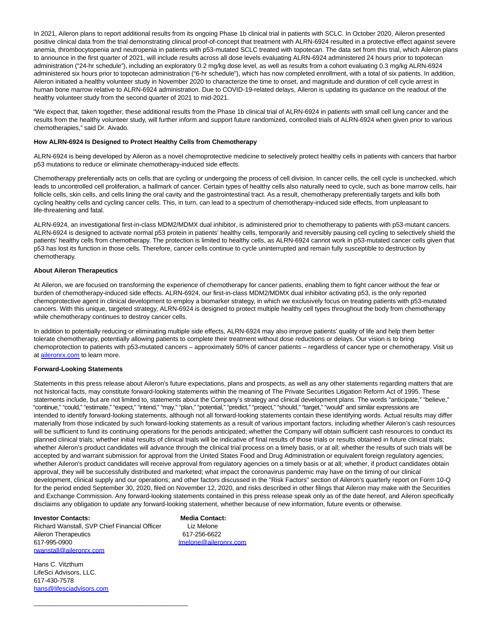In 2021, Aileron plans to report additional results from its ongoing Phase 1b clinical trial in patients with SCLC. In October 2020, Aileron presented positive clinical data from the trial demonstrating clinical proof-of-concept that treatment with ALRN-6924 resulted in a protective effect against severe anemia, thrombocytopenia and neutropenia in patients with p53-mutated SCLC treated with topotecan. The data set from this trial, which Aileron plans to announce in the first quarter of 2021, will include results across all dose levels evaluating ALRN-6924 administered 24 hours prior to topotecan administration ("24-hr schedule"), including an exploratory 0.2 mg/kg dose level, as well as results from a cohort evaluating 0.3 mg/kg ALRN-6924 administered six hours prior to topotecan administration ("6-hr schedule"), which has now completed enrollment, with a total of six patients. In addition, Aileron initiated a healthy volunteer study in November 2020 to characterize the time to onset, and magnitude and duration of cell cycle arrest in human bone marrow relative to ALRN-6924 administration. Due to COVID-19-related delays, Aileron is updating its guidance on the readout of the healthy volunteer study from the second quarter of 2021 to mid-2021.

"We expect that, taken together, these additional results from the Phase 1b clinical trial of ALRN-6924 in patients with small cell lung cancer and the results from the healthy volunteer study, will further inform and support future randomized, controlled trials of ALRN-6924 when given prior to various chemotherapies," said Dr. Aivado.

## **How ALRN-6924 Is Designed to Protect Healthy Cells from Chemotherapy**

ALRN-6924 is being developed by Aileron as a novel chemoprotective medicine to selectively protect healthy cells in patients with cancers that harbor p53 mutations to reduce or eliminate chemotherapy-induced side effects.

Chemotherapy preferentially acts on cells that are cycling or undergoing the process of cell division. In cancer cells, the cell cycle is unchecked, which leads to uncontrolled cell proliferation, a hallmark of cancer. Certain types of healthy cells also naturally need to cycle, such as bone marrow cells, hair follicle cells, skin cells, and cells lining the oral cavity and the gastrointestinal tract. As a result, chemotherapy preferentially targets and kills both cycling healthy cells and cycling cancer cells. This, in turn, can lead to a spectrum of chemotherapy-induced side effects, from unpleasant to life-threatening and fatal.

ALRN-6924, an investigational first-in-class MDM2/MDMX dual inhibitor, is administered prior to chemotherapy to patients with p53-mutant cancers. ALRN-6924 is designed to activate normal p53 protein in patients' healthy cells, temporarily and reversibly pausing cell cycling to selectively shield the patients' healthy cells from chemotherapy. The protection is limited to healthy cells, as ALRN-6924 cannot work in p53-mutated cancer cells given that p53 has lost its function in those cells. Therefore, cancer cells continue to cycle uninterrupted and remain fully susceptible to destruction by chemotherapy.

#### **About Aileron Therapeutics**

At Aileron, we are focused on transforming the experience of chemotherapy for cancer patients, enabling them to fight cancer without the fear or burden of chemotherapy-induced side effects. ALRN-6924, our first-in-class MDM2/MDMX dual inhibitor activating p53, is the only reported chemoprotective agent in clinical development to employ a biomarker strategy, in which we exclusively focus on treating patients with p53-mutated cancers. With this unique, targeted strategy, ALRN-6924 is designed to protect multiple healthy cell types throughout the body from chemotherapy while chemotherapy continues to destroy cancer cells.

In addition to potentially reducing or eliminating multiple side effects, ALRN-6924 may also improve patients' quality of life and help them better tolerate chemotherapy, potentially allowing patients to complete their treatment without dose reductions or delays. Our vision is to bring chemoprotection to patients with p53-mutated cancers – approximately 50% of cancer patients – regardless of cancer type or chemotherapy. Visit us at [aileronrx.com t](https://www.globenewswire.com/Tracker?data=G5gDsjXesW4d9EjZs2lVr4cfLXORh53vIgrNsCtWOW5sB0RvdjBQL0BPNNE17Tzrq2ocR53zCs7Oay-20mZz_w==)o learn more.

#### **Forward-Looking Statements**

Statements in this press release about Aileron's future expectations, plans and prospects, as well as any other statements regarding matters that are not historical facts, may constitute forward-looking statements within the meaning of The Private Securities Litigation Reform Act of 1995. These statements include, but are not limited to, statements about the Company's strategy and clinical development plans. The words "anticipate," "believe," "continue," "could," "estimate," "expect," "intend," "may," "plan," "potential," "predict," "project," "should," "target," "would" and similar expressions are intended to identify forward-looking statements, although not all forward-looking statements contain these identifying words. Actual results may differ materially from those indicated by such forward-looking statements as a result of various important factors, including whether Aileron's cash resources will be sufficient to fund its continuing operations for the periods anticipated; whether the Company will obtain sufficient cash resources to conduct its planned clinical trials; whether initial results of clinical trials will be indicative of final results of those trials or results obtained in future clinical trials; whether Aileron's product candidates will advance through the clinical trial process on a timely basis, or at all; whether the results of such trials will be accepted by and warrant submission for approval from the United States Food and Drug Administration or equivalent foreign regulatory agencies; whether Aileron's product candidates will receive approval from regulatory agencies on a timely basis or at all; whether, if product candidates obtain approval, they will be successfully distributed and marketed; what impact the coronavirus pandemic may have on the timing of our clinical development, clinical supply and our operations; and other factors discussed in the "Risk Factors" section of Aileron's quarterly report on Form 10-Q for the period ended September 30, 2020, filed on November 12, 2020, and risks described in other filings that Aileron may make with the Securities and Exchange Commission. Any forward-looking statements contained in this press release speak only as of the date hereof, and Aileron specifically disclaims any obligation to update any forward-looking statement, whether because of new information, future events or otherwise.

#### **Investor Contacts: Media Contact:**

Richard Wanstall, SVP Chief Financial Officer Liz Melone Aileron Therapeutics 617-256-6622 617-995-0900 [lmelone@aileronrx.com](https://www.globenewswire.com/Tracker?data=7mL11KSbD4ZZRLEO_JKC8wh3l6JEVHZjGQw8_Et5QSXknw3hPfgz8MvgOcE3ZPARmOd9W4OaHxXLG9Jqz4M_uW7yPv8rOCrva9g77Ybseyg=) [rwanstall@aileronrx.com](https://www.globenewswire.com/Tracker?data=PqbNM7_wU-0bRWl8Ueh-Zlks9-Wsx6EtX_Y6pZ--pYw2jskGsy9BheaFUoVvPScsU10vnCum_Oheu8BpGd_azQ9pNA6M0800J4yA77D8_zw=)

\_\_\_\_\_\_\_\_\_\_\_\_\_\_\_\_\_\_\_\_\_\_\_\_\_\_\_\_\_\_\_\_\_\_\_\_\_\_\_\_\_\_\_

Hans C. Vitzthum LifeSci Advisors, LLC. 617-430-7578 [hans@lifesciadvisors.com](https://www.globenewswire.com/Tracker?data=7io1PtTmeT4H-G0qpByI3pxIXPtyIiHgdTycXh7q_Fu7HamDPM9QMuPuRZ30wdR_LKwX6FGGiIynK3ZksUHbnjE1v1mO6hv0Vp7z_gcs_vs=)